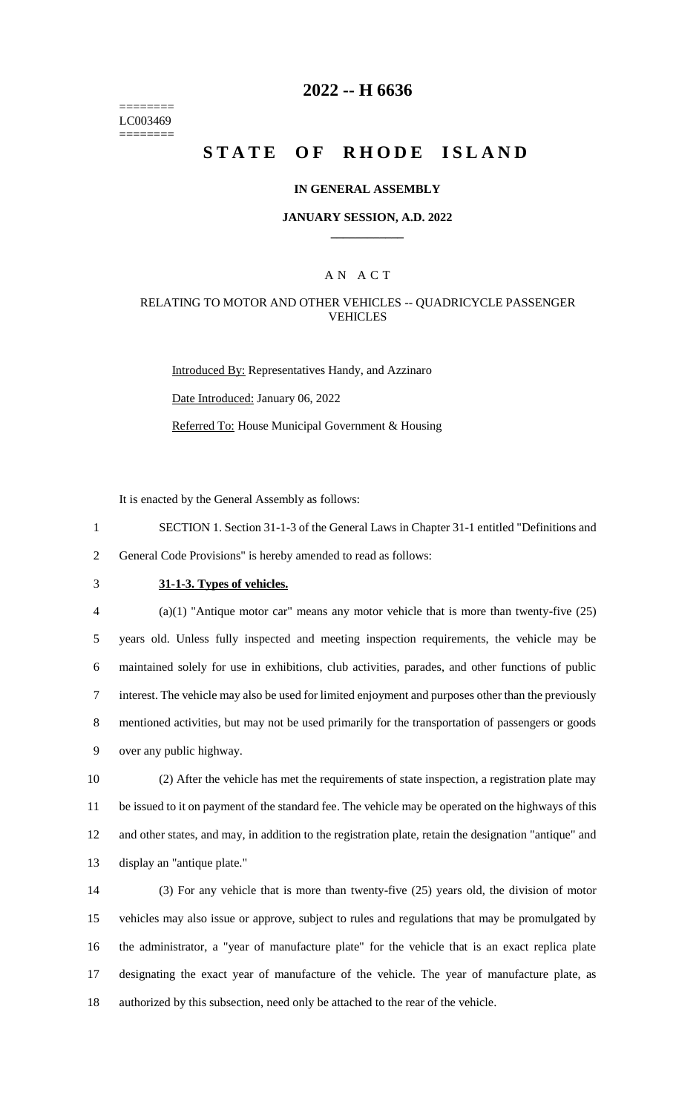======== LC003469 ========

## **2022 -- H 6636**

# **STATE OF RHODE ISLAND**

#### **IN GENERAL ASSEMBLY**

#### **JANUARY SESSION, A.D. 2022 \_\_\_\_\_\_\_\_\_\_\_\_**

### A N A C T

### RELATING TO MOTOR AND OTHER VEHICLES -- QUADRICYCLE PASSENGER VEHICLES

Introduced By: Representatives Handy, and Azzinaro Date Introduced: January 06, 2022 Referred To: House Municipal Government & Housing

It is enacted by the General Assembly as follows:

1 SECTION 1. Section 31-1-3 of the General Laws in Chapter 31-1 entitled "Definitions and 2 General Code Provisions" is hereby amended to read as follows:

# 3 **31-1-3. Types of vehicles.**

 (a)(1) "Antique motor car" means any motor vehicle that is more than twenty-five (25) years old. Unless fully inspected and meeting inspection requirements, the vehicle may be maintained solely for use in exhibitions, club activities, parades, and other functions of public interest. The vehicle may also be used for limited enjoyment and purposes other than the previously mentioned activities, but may not be used primarily for the transportation of passengers or goods over any public highway.

 (2) After the vehicle has met the requirements of state inspection, a registration plate may be issued to it on payment of the standard fee. The vehicle may be operated on the highways of this and other states, and may, in addition to the registration plate, retain the designation "antique" and display an "antique plate."

 (3) For any vehicle that is more than twenty-five (25) years old, the division of motor vehicles may also issue or approve, subject to rules and regulations that may be promulgated by the administrator, a "year of manufacture plate" for the vehicle that is an exact replica plate designating the exact year of manufacture of the vehicle. The year of manufacture plate, as authorized by this subsection, need only be attached to the rear of the vehicle.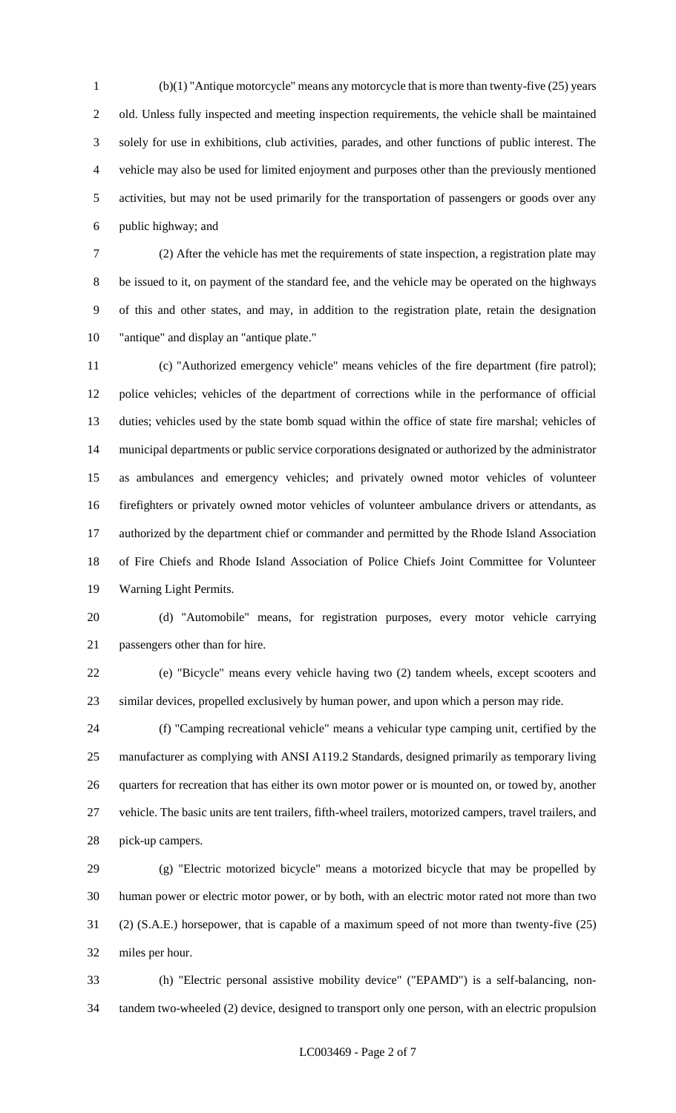(b)(1) "Antique motorcycle" means any motorcycle that is more than twenty-five (25) years old. Unless fully inspected and meeting inspection requirements, the vehicle shall be maintained solely for use in exhibitions, club activities, parades, and other functions of public interest. The vehicle may also be used for limited enjoyment and purposes other than the previously mentioned activities, but may not be used primarily for the transportation of passengers or goods over any public highway; and

 (2) After the vehicle has met the requirements of state inspection, a registration plate may be issued to it, on payment of the standard fee, and the vehicle may be operated on the highways of this and other states, and may, in addition to the registration plate, retain the designation "antique" and display an "antique plate."

 (c) "Authorized emergency vehicle" means vehicles of the fire department (fire patrol); police vehicles; vehicles of the department of corrections while in the performance of official duties; vehicles used by the state bomb squad within the office of state fire marshal; vehicles of municipal departments or public service corporations designated or authorized by the administrator as ambulances and emergency vehicles; and privately owned motor vehicles of volunteer firefighters or privately owned motor vehicles of volunteer ambulance drivers or attendants, as authorized by the department chief or commander and permitted by the Rhode Island Association of Fire Chiefs and Rhode Island Association of Police Chiefs Joint Committee for Volunteer Warning Light Permits.

 (d) "Automobile" means, for registration purposes, every motor vehicle carrying passengers other than for hire.

 (e) "Bicycle" means every vehicle having two (2) tandem wheels, except scooters and similar devices, propelled exclusively by human power, and upon which a person may ride.

 (f) "Camping recreational vehicle" means a vehicular type camping unit, certified by the manufacturer as complying with ANSI A119.2 Standards, designed primarily as temporary living quarters for recreation that has either its own motor power or is mounted on, or towed by, another vehicle. The basic units are tent trailers, fifth-wheel trailers, motorized campers, travel trailers, and pick-up campers.

 (g) "Electric motorized bicycle" means a motorized bicycle that may be propelled by human power or electric motor power, or by both, with an electric motor rated not more than two (2) (S.A.E.) horsepower, that is capable of a maximum speed of not more than twenty-five (25) miles per hour.

 (h) "Electric personal assistive mobility device" ("EPAMD") is a self-balancing, non-tandem two-wheeled (2) device, designed to transport only one person, with an electric propulsion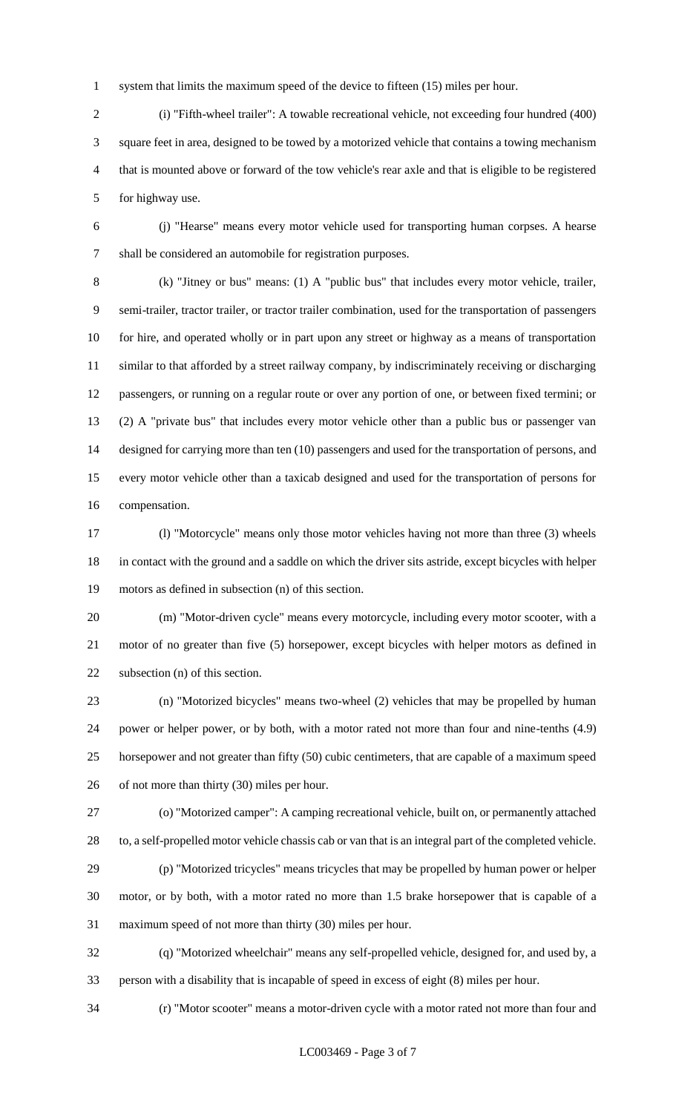system that limits the maximum speed of the device to fifteen (15) miles per hour.

 (i) "Fifth-wheel trailer": A towable recreational vehicle, not exceeding four hundred (400) square feet in area, designed to be towed by a motorized vehicle that contains a towing mechanism that is mounted above or forward of the tow vehicle's rear axle and that is eligible to be registered for highway use.

 (j) "Hearse" means every motor vehicle used for transporting human corpses. A hearse shall be considered an automobile for registration purposes.

 (k) "Jitney or bus" means: (1) A "public bus" that includes every motor vehicle, trailer, semi-trailer, tractor trailer, or tractor trailer combination, used for the transportation of passengers for hire, and operated wholly or in part upon any street or highway as a means of transportation similar to that afforded by a street railway company, by indiscriminately receiving or discharging passengers, or running on a regular route or over any portion of one, or between fixed termini; or (2) A "private bus" that includes every motor vehicle other than a public bus or passenger van designed for carrying more than ten (10) passengers and used for the transportation of persons, and every motor vehicle other than a taxicab designed and used for the transportation of persons for compensation.

 (l) "Motorcycle" means only those motor vehicles having not more than three (3) wheels in contact with the ground and a saddle on which the driver sits astride, except bicycles with helper motors as defined in subsection (n) of this section.

 (m) "Motor-driven cycle" means every motorcycle, including every motor scooter, with a motor of no greater than five (5) horsepower, except bicycles with helper motors as defined in subsection (n) of this section.

 (n) "Motorized bicycles" means two-wheel (2) vehicles that may be propelled by human power or helper power, or by both, with a motor rated not more than four and nine-tenths (4.9) horsepower and not greater than fifty (50) cubic centimeters, that are capable of a maximum speed of not more than thirty (30) miles per hour.

 (o) "Motorized camper": A camping recreational vehicle, built on, or permanently attached to, a self-propelled motor vehicle chassis cab or van that is an integral part of the completed vehicle.

 (p) "Motorized tricycles" means tricycles that may be propelled by human power or helper motor, or by both, with a motor rated no more than 1.5 brake horsepower that is capable of a maximum speed of not more than thirty (30) miles per hour.

 (q) "Motorized wheelchair" means any self-propelled vehicle, designed for, and used by, a person with a disability that is incapable of speed in excess of eight (8) miles per hour.

(r) "Motor scooter" means a motor-driven cycle with a motor rated not more than four and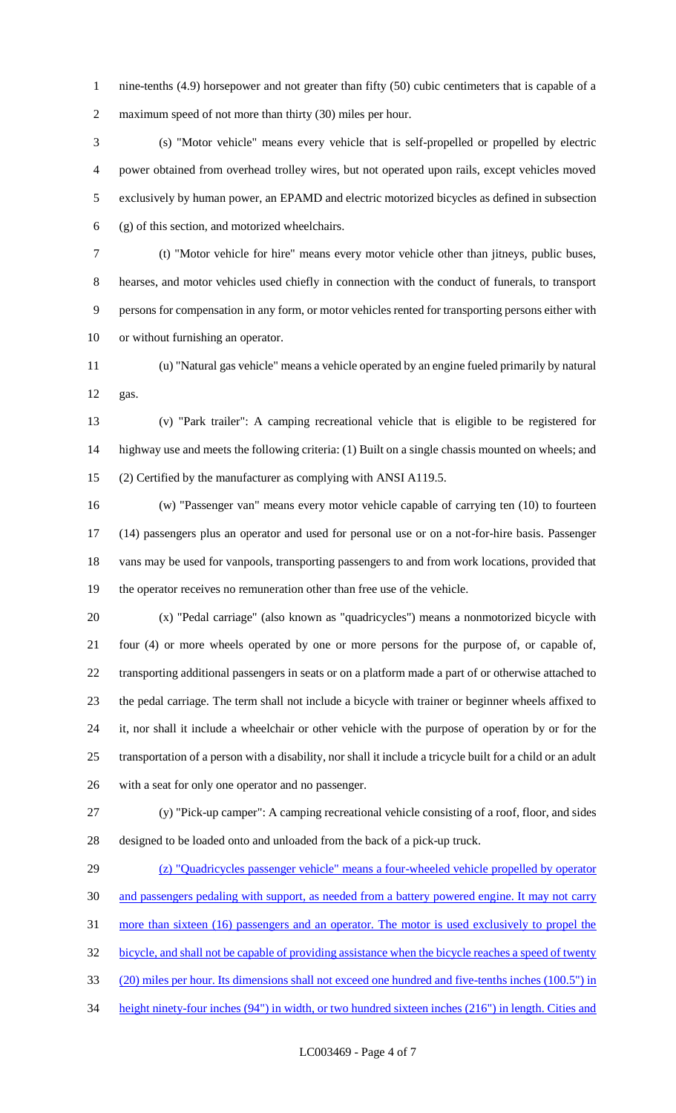nine-tenths (4.9) horsepower and not greater than fifty (50) cubic centimeters that is capable of a maximum speed of not more than thirty (30) miles per hour.

 (s) "Motor vehicle" means every vehicle that is self-propelled or propelled by electric power obtained from overhead trolley wires, but not operated upon rails, except vehicles moved exclusively by human power, an EPAMD and electric motorized bicycles as defined in subsection (g) of this section, and motorized wheelchairs.

 (t) "Motor vehicle for hire" means every motor vehicle other than jitneys, public buses, hearses, and motor vehicles used chiefly in connection with the conduct of funerals, to transport persons for compensation in any form, or motor vehicles rented for transporting persons either with or without furnishing an operator.

 (u) "Natural gas vehicle" means a vehicle operated by an engine fueled primarily by natural gas.

 (v) "Park trailer": A camping recreational vehicle that is eligible to be registered for highway use and meets the following criteria: (1) Built on a single chassis mounted on wheels; and (2) Certified by the manufacturer as complying with ANSI A119.5.

 (w) "Passenger van" means every motor vehicle capable of carrying ten (10) to fourteen (14) passengers plus an operator and used for personal use or on a not-for-hire basis. Passenger vans may be used for vanpools, transporting passengers to and from work locations, provided that the operator receives no remuneration other than free use of the vehicle.

 (x) "Pedal carriage" (also known as "quadricycles") means a nonmotorized bicycle with four (4) or more wheels operated by one or more persons for the purpose of, or capable of, transporting additional passengers in seats or on a platform made a part of or otherwise attached to the pedal carriage. The term shall not include a bicycle with trainer or beginner wheels affixed to it, nor shall it include a wheelchair or other vehicle with the purpose of operation by or for the transportation of a person with a disability, nor shall it include a tricycle built for a child or an adult with a seat for only one operator and no passenger.

 (y) "Pick-up camper": A camping recreational vehicle consisting of a roof, floor, and sides designed to be loaded onto and unloaded from the back of a pick-up truck.

 (z) "Quadricycles passenger vehicle" means a four-wheeled vehicle propelled by operator and passengers pedaling with support, as needed from a battery powered engine. It may not carry more than sixteen (16) passengers and an operator. The motor is used exclusively to propel the bicycle, and shall not be capable of providing assistance when the bicycle reaches a speed of twenty (20) miles per hour. Its dimensions shall not exceed one hundred and five-tenths inches (100.5") in height ninety-four inches (94") in width, or two hundred sixteen inches (216") in length. Cities and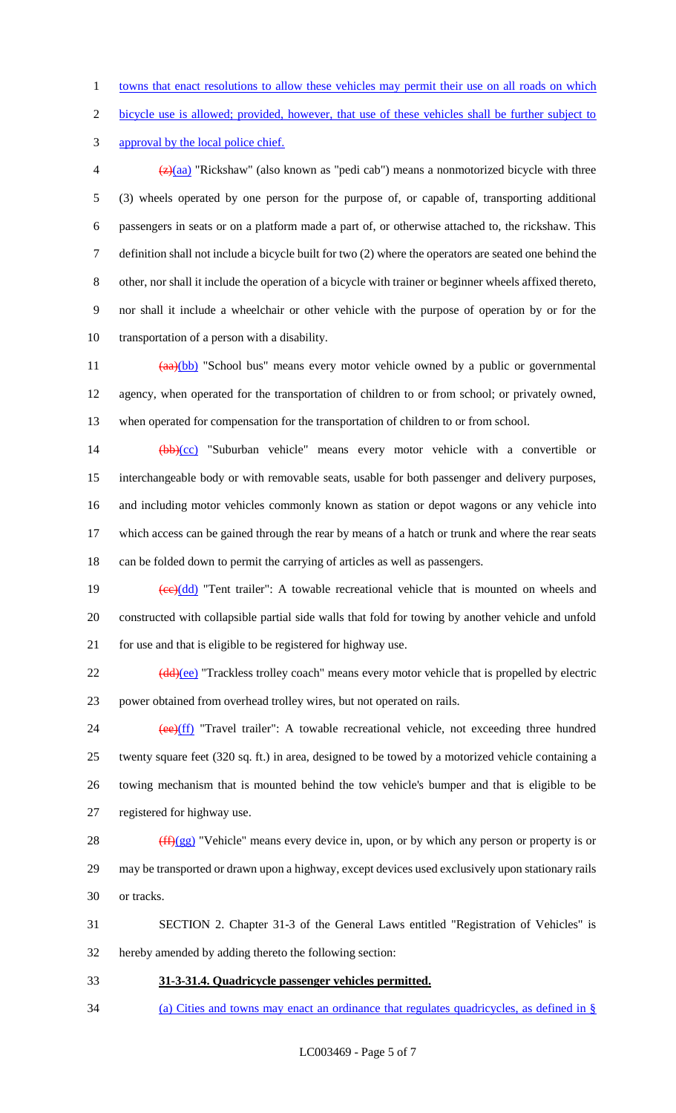1 towns that enact resolutions to allow these vehicles may permit their use on all roads on which

bicycle use is allowed; provided, however, that use of these vehicles shall be further subject to

approval by the local police chief.

 $\frac{1}{2}$  (z)(aa) "Rickshaw" (also known as "pedi cab") means a nonmotorized bicycle with three (3) wheels operated by one person for the purpose of, or capable of, transporting additional passengers in seats or on a platform made a part of, or otherwise attached to, the rickshaw. This definition shall not include a bicycle built for two (2) where the operators are seated one behind the other, nor shall it include the operation of a bicycle with trainer or beginner wheels affixed thereto, nor shall it include a wheelchair or other vehicle with the purpose of operation by or for the transportation of a person with a disability.

11 (aa)(bb) "School bus" means every motor vehicle owned by a public or governmental agency, when operated for the transportation of children to or from school; or privately owned, when operated for compensation for the transportation of children to or from school.

14 (bb)(cc) "Suburban vehicle" means every motor vehicle with a convertible or interchangeable body or with removable seats, usable for both passenger and delivery purposes, and including motor vehicles commonly known as station or depot wagons or any vehicle into which access can be gained through the rear by means of a hatch or trunk and where the rear seats can be folded down to permit the carrying of articles as well as passengers.

19  $\left(\frac{ce}{dd}\right)$  "Tent trailer": A towable recreational vehicle that is mounted on wheels and constructed with collapsible partial side walls that fold for towing by another vehicle and unfold for use and that is eligible to be registered for highway use.

22 (dd)(ee) "Trackless trolley coach" means every motor vehicle that is propelled by electric power obtained from overhead trolley wires, but not operated on rails.

24 (ee)(ff) "Travel trailer": A towable recreational vehicle, not exceeding three hundred twenty square feet (320 sq. ft.) in area, designed to be towed by a motorized vehicle containing a towing mechanism that is mounted behind the tow vehicle's bumper and that is eligible to be registered for highway use.

28  $(ff)(gg)$  "Vehicle" means every device in, upon, or by which any person or property is or may be transported or drawn upon a highway, except devices used exclusively upon stationary rails or tracks.

 SECTION 2. Chapter 31-3 of the General Laws entitled "Registration of Vehicles" is hereby amended by adding thereto the following section:

**31-3-31.4. Quadricycle passenger vehicles permitted.** 

(a) Cities and towns may enact an ordinance that regulates quadricycles, as defined in §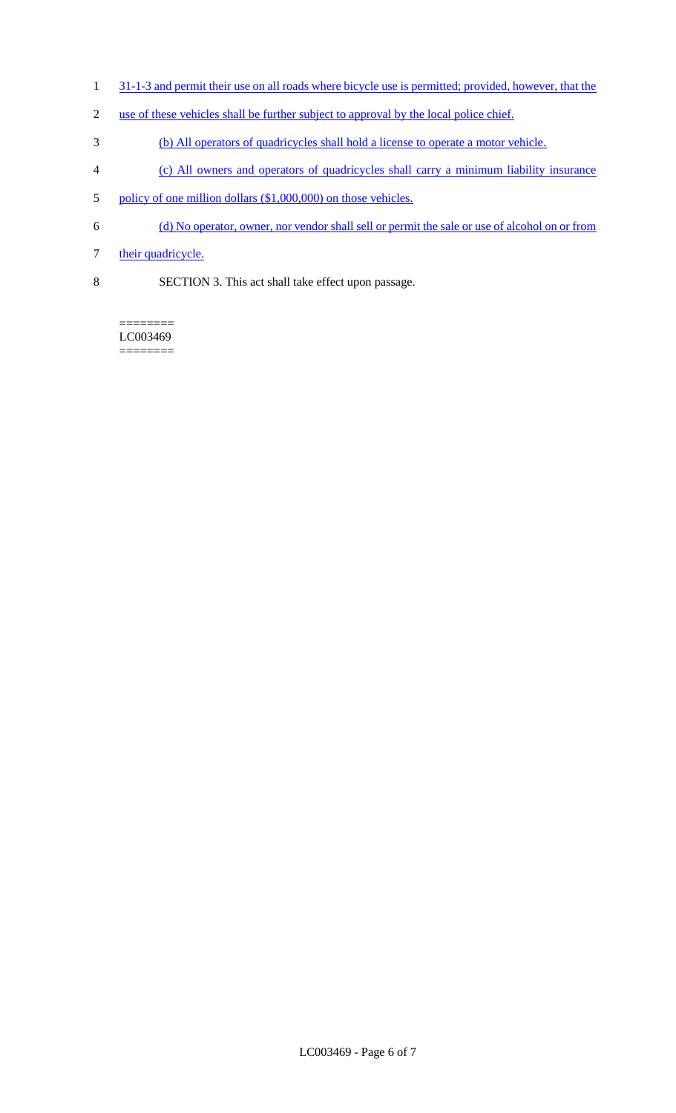- 1 31-1-3 and permit their use on all roads where bicycle use is permitted; provided, however, that the
- 2 use of these vehicles shall be further subject to approval by the local police chief.
- 3 (b) All operators of quadricycles shall hold a license to operate a motor vehicle.
- 4 (c) All owners and operators of quadricycles shall carry a minimum liability insurance
- 5 policy of one million dollars (\$1,000,000) on those vehicles.
- 6 (d) No operator, owner, nor vendor shall sell or permit the sale or use of alcohol on or from
- 7 their quadricycle.
- 8 SECTION 3. This act shall take effect upon passage.

LC003469 ========

 $=$